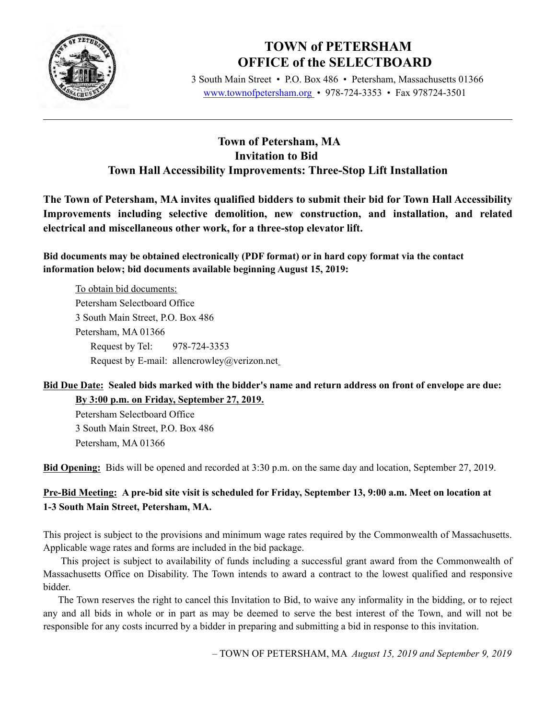

# **TOWN of PETERSHAM OFFICE of the SELECTBOARD**

 3 South Main Street • P.O. Box 486 • Petersham, Massachusetts 01366 www.townofpetersham.org • 978-724-3353 • Fax 978724-3501

## **Town of Petersham, MA Invitation to Bid Town Hall Accessibility Improvements: Three-Stop Lift Installation**

**The Town of Petersham, MA invites qualified bidders to submit their bid for Town Hall Accessibility Improvements including selective demolition, new construction, and installation, and related electrical and miscellaneous other work, for a three-stop elevator lift.** 

**Bid documents may be obtained electronically (PDF format) or in hard copy format via the contact information below; bid documents available beginning August 15, 2019:**

To obtain bid documents: Petersham Selectboard Office 3 South Main Street, P.O. Box 486 Petersham, MA 01366 Request by Tel: 978-724-3353 Request by E-mail: allencrowley@verizon.net

### **Bid Due Date: Sealed bids marked with the bidder's name and return address on front of envelope are due: By 3:00 p.m. on Friday, September 27, 2019.**

Petersham Selectboard Office 3 South Main Street, P.O. Box 486 Petersham, MA 01366

**Bid Opening:** Bids will be opened and recorded at 3:30 p.m. on the same day and location, September 27, 2019.

## **Pre-Bid Meeting: A pre-bid site visit is scheduled for Friday, September 13, 9:00 a.m. Meet on location at 1-3 South Main Street, Petersham, MA.**

This project is subject to the provisions and minimum wage rates required by the Commonwealth of Massachusetts. Applicable wage rates and forms are included in the bid package.

 This project is subject to availability of funds including a successful grant award from the Commonwealth of Massachusetts Office on Disability. The Town intends to award a contract to the lowest qualified and responsive bidder.

 The Town reserves the right to cancel this Invitation to Bid, to waive any informality in the bidding, or to reject any and all bids in whole or in part as may be deemed to serve the best interest of the Town, and will not be responsible for any costs incurred by a bidder in preparing and submitting a bid in response to this invitation.

– TOWN OF PETERSHAM, MA *August 15, 2019 and September 9, 2019*